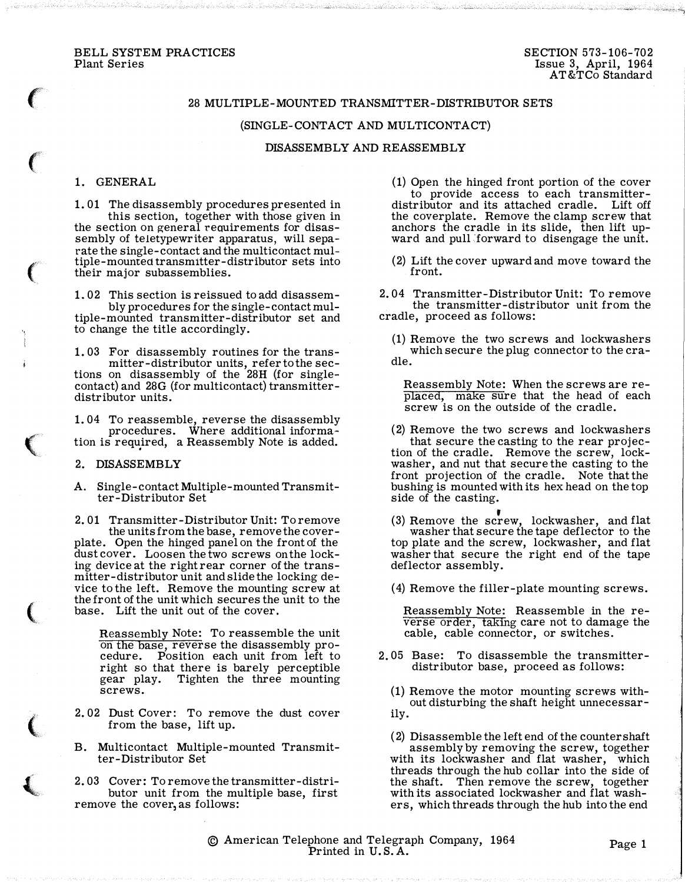#### BELL SYSTEM PRACTICES Plant Series

 $\ddot{\phantom{0}}$ 

## 28 MULTIPLE-MOUNTED TRANSMITTER-DISTRIBUTOR SETS

#### (SINGLE-CONTACT AND MULTICONTACT}

## DISASSEMBLY AND REASSEMBLY

# 1. GENERAL

 $\epsilon$ 

 $\big($ 

'•.

 $\big($ 

 $\big($ 

 $\big($ 

 $\left($ 

1. 01 The disassembly procedures presented in this section, together with those given in the section on general requirements for disassembly of teletypewriter apparatus, will separate the single-contact and the multicontact multiple-mounted transmitter-distributor sets into their major subassemblies.

1. 02 This section is reissued to add disassembly procedures for the single-contact multiple-mounted transmitter-distributor set and to change the title accordingly.

1. 03 For disassembly routines for the transmitter-distributor units, refer to the sec-tions on disassembly of the 28H (for singlecontact) and 28G (for multicontact) transmitterdistributor units.

1. 04 To reassemble, reverse the disassembly procedures. Where additional information is required, a Reassembly Note is added.

#### 2. DISASSEMBLY

A. Single-contact Multiple-mounted Transmitter-Distributor Set

2. 01 Transmitter-Distributor Unit: To remove the units from the base, remove the coverplate. Open the hinged panel on the front of the dust cover. Loosen the two screws on the locking device at the right rear corner of the transmitter-distributor unit and slide the locking device to the left. Remove the mounting screw at the front of the unit which secures the unit to the base. Lift the unit out of the cover.

Reassembly Note: To reassemble the unit on the base, reverse the disassembly procedure. Position each unit from left to right so that there is barely perceptible gear play. Tighten the three mounting screws.

- 2. 02 Dust Cover: To remove the dust cover from the base, lift up.
- B. Multicontact Multiple-mounted Transmitter-Distributor Set
- 2. 03 Cover: To remove the transmitter-distributor unit from the multiple base, first remove the cover, as follows:

(1) Open the hinged front portion of the cover to provide access to each transmitterdistributor and its attached cradle. Lift off the coverplate. Remove the clamp screw that anchors the cradle in its slide, then lift upward and pull forward to disengage the unit.

(2) Lift the cover upward and move toward the front.

2. 04 Transmitter-Distributor Unit: To remove the transmitter-distributor unit from the cradle, proceed as follows:

(1} Remove the two screws and lockwashers which secure the plug connector to the cradle.

Reassembly Note: When the screws are repiaced, make sure that the head of each screw is on the outside of the cradle.

(2} Remove the two screws and lockwashers that secure the casting to the rear projection of the cradle. Remove the screw, lockwasher, and nut that secure the casting to the front projection of the cradle. Note that the bushing is mounted with its hex head on the top side of the casting.

(3) Remove the screw, lockwasher, and flat washer that secure the tape deflector to the top plate and the screw, lockwasher, and flat washer that secure the right end of the tape deflector assembly.

(4) Remove the filler-plate mounting screws.

Reassembly Note: Reassemble in the reverse order, taking care not to damage the cable, cable connector, or switches.

2. 05 Base: To disassemble the transmitterdistributor base, proceed as follows:

(1) Remove the motor mounting screws without disturbing the shaft height unnecessarily.

- ( 2) Disassemble the left end of the counter shaft assembly by removing the screw, together with its lockwasher and flat washer, which threads through the hub collar into the side of the shaft. Then remove the screw, together with its associated lockwasher and flat washers, which threads through the hub into the end
- © American Telephone and Telegraph Company, 1964 phone and Telegraph Company, 1964<br>Printed in U.S.A.